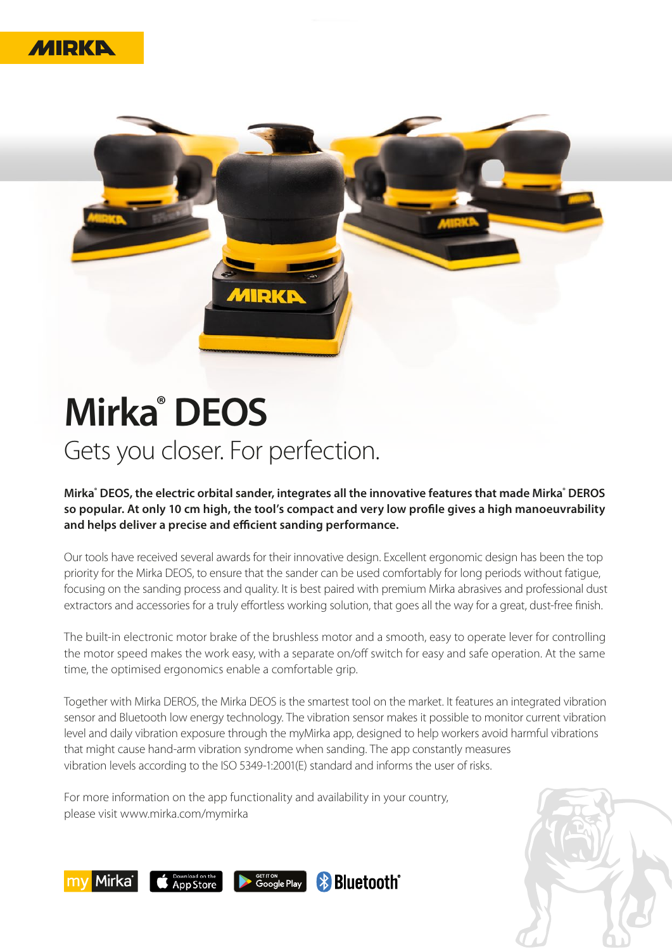



## **Mirka® DEOS**  Gets you closer. For perfection.

**Mirka® DEOS, the electric orbital sander, integrates all the innovative features that made Mirka® DEROS so popular. At only 10 cm high, the tool's compact and very low profile gives a high manoeuvrability and helps deliver a precise and efficient sanding performance.**

Our tools have received several awards for their innovative design. Excellent ergonomic design has been the top priority for the Mirka DEOS, to ensure that the sander can be used comfortably for long periods without fatigue, focusing on the sanding process and quality. It is best paired with premium Mirka abrasives and professional dust extractors and accessories for a truly effortless working solution, that goes all the way for a great, dust-free finish.

The built-in electronic motor brake of the brushless motor and a smooth, easy to operate lever for controlling the motor speed makes the work easy, with a separate on/off switch for easy and safe operation. At the same time, the optimised ergonomics enable a comfortable grip.

Together with Mirka DEROS, the Mirka DEOS is the smartest tool on the market. It features an integrated vibration sensor and Bluetooth low energy technology. The vibration sensor makes it possible to monitor current vibration level and daily vibration exposure through the myMirka app, designed to help workers avoid harmful vibrations that might cause hand-arm vibration syndrome when sanding. The app constantly measures vibration levels according to the ISO 5349-1:2001(E) standard and informs the user of risks.

For more information on the app functionality and availability in your country, please visit www.mirka.com/mymirka